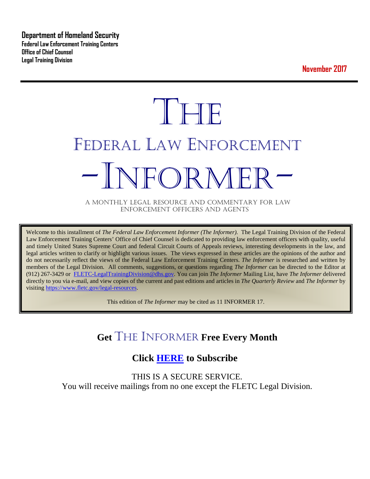**Department of Homeland Security Federal Law Enforcement Training Centers Office of Chief Counsel Legal Training Division** 

**November 2017**

# **THE** FEDERAL LAW ENFORCEMENT -INFORMER- A MONTHLY LEGAL RESOURCE AND COMMENTARY FOR LAW

ENFORCEMENT OFFICERS AND AGENTS

Welcome to this installment of *The Federal Law Enforcement Informer (The Informer).* The Legal Training Division of the Federal Law Enforcement Training Centers' Office of Chief Counsel is dedicated to providing law enforcement officers with quality, useful and timely United States Supreme Court and federal Circuit Courts of Appeals reviews, interesting developments in the law, and legal articles written to clarify or highlight various issues. The views expressed in these articles are the opinions of the author and do not necessarily reflect the views of the Federal Law Enforcement Training Centers. *The Informer* is researched and written by members of the Legal Division. All comments, suggestions, or questions regarding *The Informer* can be directed to the Editor at (912) 267-3429 or [FLETC-LegalTrainingDivision@dhs.gov.](mailto:FLETC-LegalTrainingDivision@dhs.gov) You can join *The Informer* Mailing List, have *The Informer* delivered directly to you via e-mail, and view copies of the current and past editions and articles in *The Quarterly Review* and *The Informer* by visiting [https://www.fletc.gov/legal-resources.](https://www.fletc.gov/legal-resources) 

This edition of *The Informer* may be cited as 11 INFORMER 17.

# **Get** THE INFORMER **Free Every Month**

## **Click [HERE](https://app.co-sender.com/opt-in/list/7b007eab-378b-4542-807f-44d6de94cb7e) to Subscribe**

THIS IS A SECURE SERVICE. You will receive mailings from no one except the FLETC Legal Division.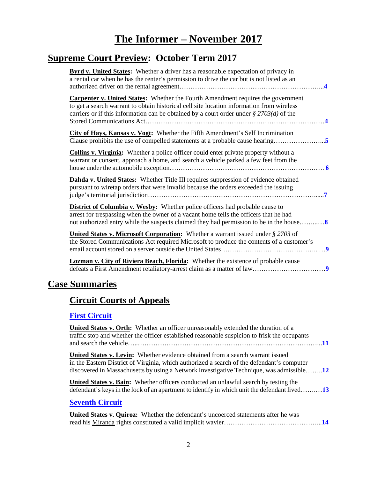# **The Informer – November <sup>2017</sup>**

# **Supreme Court Preview: October Term 2017**

| <b>Byrd v. United States:</b> Whether a driver has a reasonable expectation of privacy in<br>a rental car when he has the renter's permission to drive the car but is not listed as an                                                                                             |
|------------------------------------------------------------------------------------------------------------------------------------------------------------------------------------------------------------------------------------------------------------------------------------|
| <b>Carpenter v. United States:</b> Whether the Fourth Amendment requires the government<br>to get a search warrant to obtain historical cell site location information from wireless<br>carriers or if this information can be obtained by a court order under $\S 2703(d)$ of the |
| City of Hays, Kansas v. Vogt: Whether the Fifth Amendment's Self Incrimination<br>Clause prohibits the use of compelled statements at a probable cause hearing5                                                                                                                    |
| <b>Collins v. Virginia:</b> Whether a police officer could enter private property without a<br>warrant or consent, approach a home, and search a vehicle parked a few feet from the                                                                                                |
| Dahda v. United States: Whether Title III requires suppression of evidence obtained<br>pursuant to wiretap orders that were invalid because the orders exceeded the issuing                                                                                                        |
| <b>District of Columbia v. Wesby:</b> Whether police officers had probable cause to<br>arrest for trespassing when the owner of a vacant home tells the officers that he had                                                                                                       |
| United States v. Microsoft Corporation: Whether a warrant issued under § 2703 of<br>the Stored Communications Act required Microsoft to produce the contents of a customer's                                                                                                       |
| <b>Lozman v. City of Riviera Beach, Florida:</b> Whether the existence of probable cause                                                                                                                                                                                           |

# **Case Summaries**

# **[Circuit Courts of Appeals](#page-10-0)**

### **[First Circuit](#page-10-1)**

| <b>United States v. Orth:</b> Whether an officer unreasonably extended the duration of a<br>traffic stop and whether the officer established reasonable suspicion to frisk the occupants                                                                                 |
|--------------------------------------------------------------------------------------------------------------------------------------------------------------------------------------------------------------------------------------------------------------------------|
| United States v. Levin: Whether evidence obtained from a search warrant issued<br>in the Eastern District of Virginia, which authorized a search of the defendant's computer<br>discovered in Massachusetts by using a Network Investigative Technique, was admissible12 |
| <b>United States v. Bain:</b> Whether officers conducted an unlawful search by testing the<br>defendant's keys in the lock of an apartment to identify in which unit the defendant lived 13                                                                              |
| <b>Seventh Circuit</b>                                                                                                                                                                                                                                                   |
| United States v. Quiroz: Whether the defendant's uncoerced statements after he was                                                                                                                                                                                       |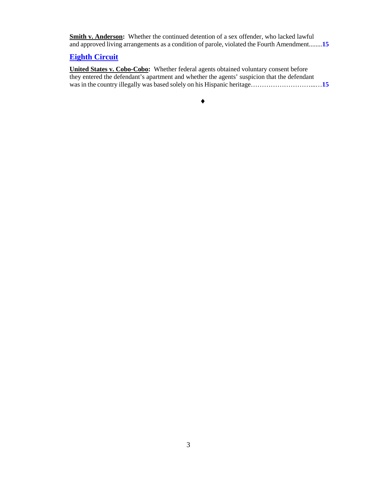**Smith v. Anderson:** Whether the continued detention of a sex offender, who lacked lawful and approved living arrangements as a condition of parole, violated the Fourth Amendment........**[15](#page-14-0)**

#### **[Eighth Circuit](#page-14-1)**

**United States v. Cobo-Cobo:** Whether federal agents obtained voluntary consent before they entered the defendant's apartment and whether the agents' suspicion that the defendant was in the country illegally was based solely on his Hispanic heritage……………………………[15](#page-14-2)

♦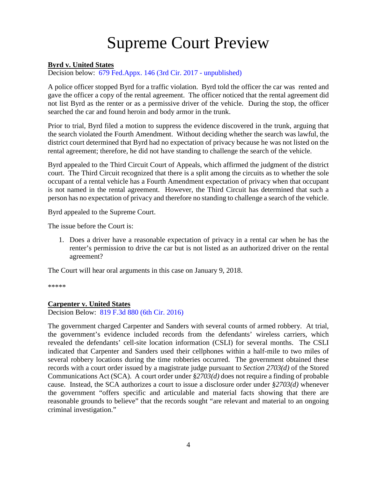# Supreme Court Preview

#### <span id="page-3-0"></span>**Byrd v. United States**

Decision below: [679 Fed.Appx. 146 \(3rd Cir. 2017 -](http://www.scotusblog.com/wp-content/uploads/2017/09/16-1371-opinion-below.pdf) unpublished)

A police officer stopped Byrd for a traffic violation. Byrd told the officer the car was rented and gave the officer a copy of the rental agreement. The officer noticed that the rental agreement did not list Byrd as the renter or as a permissive driver of the vehicle. During the stop, the officer searched the car and found heroin and body armor in the trunk.

Prior to trial, Byrd filed a motion to suppress the evidence discovered in the trunk, arguing that the search violated the Fourth Amendment. Without deciding whether the search was lawful, the district court determined that Byrd had no expectation of privacy because he was not listed on the rental agreement; therefore, he did not have standing to challenge the search of the vehicle.

Byrd appealed to the Third Circuit Court of Appeals, which affirmed the judgment of the district court. The Third Circuit recognized that there is a split among the circuits as to whether the sole occupant of a rental vehicle has a Fourth Amendment expectation of privacy when that occupant is not named in the rental agreement. However, the Third Circuit has determined that such a person has no expectation of privacy and therefore no standing to challenge a search of the vehicle.

Byrd appealed to the Supreme Court.

The issue before the Court is:

1. Does a driver have a reasonable expectation of privacy in a rental car when he has the renter's permission to drive the car but is not listed as an authorized driver on the rental agreement?

The Court will hear oral arguments in this case on January 9, 2018.

\*\*\*\*\*

#### <span id="page-3-1"></span>**Carpenter v. United States**

Decision Below: [819 F.3d 880 \(6th Cir. 2016\)](https://cases.justia.com/federal/appellate-courts/ca6/14-1572/14-1572-2016-04-13.pdf?ts=1460559660)

The government charged Carpenter and Sanders with several counts of armed robbery. At trial, the government's evidence included records from the defendants' wireless carriers, which revealed the defendants' cell-site location information (CSLI) for several months. The CSLI indicated that Carpenter and Sanders used their cellphones within a half-mile to two miles of several robbery locations during the time robberies occurred. The government obtained these records with a court order issued by a magistrate judge pursuant to *Section 2703(d)* of the Stored Communications Act (SCA). A court order under *§2703(d)* does not require a finding of probable cause. Instead, the SCA authorizes a court to issue a disclosure order under *§2703(d)* whenever the government "offers specific and articulable and material facts showing that there are reasonable grounds to believe" that the records sought "are relevant and material to an ongoing criminal investigation."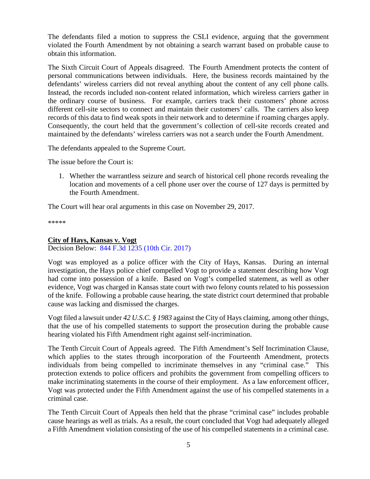The defendants filed a motion to suppress the CSLI evidence, arguing that the government violated the Fourth Amendment by not obtaining a search warrant based on probable cause to obtain this information.

The Sixth Circuit Court of Appeals disagreed. The Fourth Amendment protects the content of personal communications between individuals. Here, the business records maintained by the defendants' wireless carriers did not reveal anything about the content of any cell phone calls. Instead, the records included non-content related information, which wireless carriers gather in the ordinary course of business. For example, carriers track their customers' phone across different cell-site sectors to connect and maintain their customers' calls. The carriers also keep records of this data to find weak spots in their network and to determine if roaming charges apply. Consequently, the court held that the government's collection of cell-site records created and maintained by the defendants' wireless carriers was not a search under the Fourth Amendment.

The defendants appealed to the Supreme Court.

The issue before the Court is:

1. Whether the warrantless seizure and search of historical cell phone records revealing the location and movements of a cell phone user over the course of 127 days is permitted by the Fourth Amendment.

The Court will hear oral arguments in this case on November 29, 2017.

\*\*\*\*\*

#### <span id="page-4-0"></span>**City of Hays, Kansas v. Vogt**

Decision Below: [844 F.3d 1235 \(10th Cir. 2017\)](http://cases.justia.com/federal/appellate-courts/ca10/15-3266/15-3266-2017-01-04.pdf?ts=1483556466)

Vogt was employed as a police officer with the City of Hays, Kansas. During an internal investigation, the Hays police chief compelled Vogt to provide a statement describing how Vogt had come into possession of a knife. Based on Vogt's compelled statement, as well as other evidence, Vogt was charged in Kansas state court with two felony counts related to his possession of the knife. Following a probable cause hearing, the state district court determined that probable cause was lacking and dismissed the charges.

Vogt filed a lawsuit under *42 U.S.C. § 1983* against the City of Hays claiming, among other things, that the use of his compelled statements to support the prosecution during the probable cause hearing violated his Fifth Amendment right against self-incrimination.

The Tenth Circuit Court of Appeals agreed. The Fifth Amendment's Self Incrimination Clause, which applies to the states through incorporation of the Fourteenth Amendment, protects individuals from being compelled to incriminate themselves in any "criminal case." This protection extends to police officers and prohibits the government from compelling officers to make incriminating statements in the course of their employment. As a law enforcement officer, Vogt was protected under the Fifth Amendment against the use of his compelled statements in a criminal case.

The Tenth Circuit Court of Appeals then held that the phrase "criminal case" includes probable cause hearings as well as trials. As a result, the court concluded that Vogt had adequately alleged a Fifth Amendment violation consisting of the use of his compelled statements in a criminal case.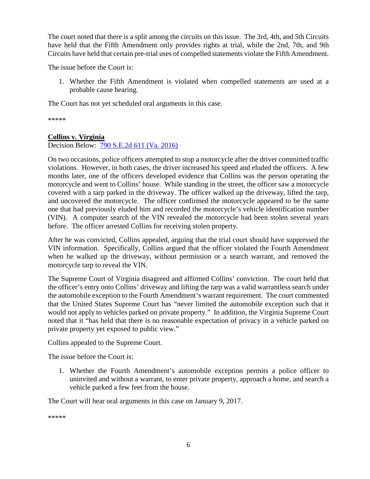The court noted that there is a split among the circuits on this issue. The 3rd, 4th, and 5th Circuits have held that the Fifth Amendment only provides rights at trial, while the 2nd, 7th, and 9th Circuits have held that certain pre-trial uses of compelled statements violate the Fifth Amendment.

The issue before the Court is:

1. Whether the Fifth Amendment is violated when compelled statements are used at a probable cause hearing.

The Court has not yet scheduled oral arguments in this case.

\*\*\*\*\*

#### <span id="page-5-0"></span>**Collins v. Virginia**

Decision Below: [790 S.E.2d 611 \(Va. 2016\)](http://www.scotusblog.com/wp-content/uploads/2017/03/16-1027-op-bel-va.pdf)

On two occasions, police officers attempted to stop a motorcycle after the driver committed traffic violations. However, in both cases, the driver increased his speed and eluded the officers. A few months later, one of the officers developed evidence that Collins was the person operating the motorcycle and went to Collins' house. While standing in the street, the officer saw a motorcycle covered with a tarp parked in the driveway. The officer walked up the driveway, lifted the tarp, and uncovered the motorcycle. The officer confirmed the motorcycle appeared to be the same one that had previously eluded him and recorded the motorcycle's vehicle identification number (VIN). A computer search of the VIN revealed the motorcycle had been stolen several years before. The officer arrested Collins for receiving stolen property.

After he was convicted, Collins appealed, arguing that the trial court should have suppressed the VIN information. Specifically, Collins argued that the officer violated the Fourth Amendment when he walked up the driveway, without permission or a search warrant, and removed the motorcycle tarp to reveal the VIN.

The Supreme Court of Virginia disagreed and affirmed Collins' conviction. The court held that the officer's entry onto Collins' driveway and lifting the tarp was a valid warrantless search under the automobile exception to the Fourth Amendment's warrant requirement. The court commented that the United States Supreme Court has "never limited the automobile exception such that it would not apply to vehicles parked on private property." In addition, the Virginia Supreme Court noted that it "has held that there is no reasonable expectation of privacy in a vehicle parked on private property yet exposed to public view."

Collins appealed to the Supreme Court.

The issue before the Court is:

1. Whether the Fourth Amendment's automobile exception permits a police officer to uninvited and without a warrant, to enter private property, approach a home, and search a vehicle parked a few feet from the house.

The Court will hear oral arguments in this case on January 9, 2017.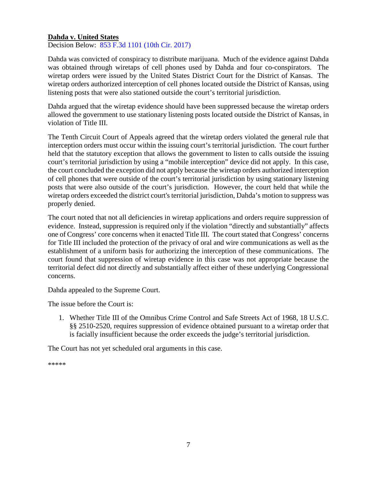#### <span id="page-6-0"></span>**Dahda v. United States**

Decision Below: [853 F.3d 1101 \(10th Cir. 2017\)](https://cases.justia.com/federal/appellate-courts/ca10/15-3236/15-3236-2017-04-04.pdf?ts=1491328858)

Dahda was convicted of conspiracy to distribute marijuana. Much of the evidence against Dahda was obtained through wiretaps of cell phones used by Dahda and four co-conspirators. The wiretap orders were issued by the United States District Court for the District of Kansas. The wiretap orders authorized interception of cell phones located outside the District of Kansas, using listening posts that were also stationed outside the court's territorial jurisdiction.

Dahda argued that the wiretap evidence should have been suppressed because the wiretap orders allowed the government to use stationary listening posts located outside the District of Kansas, in violation of Title III.

The Tenth Circuit Court of Appeals agreed that the wiretap orders violated the general rule that interception orders must occur within the issuing court's territorial jurisdiction. The court further held that the statutory exception that allows the government to listen to calls outside the issuing court's territorial jurisdiction by using a "mobile interception" device did not apply. In this case, the court concluded the exception did not apply because the wiretap orders authorized interception of cell phones that were outside of the court's territorial jurisdiction by using stationary listening posts that were also outside of the court's jurisdiction. However, the court held that while the wiretap orders exceeded the district court's territorial jurisdiction, Dahda's motion to suppress was properly denied.

The court noted that not all deficiencies in wiretap applications and orders require suppression of evidence. Instead, suppression is required only if the violation "directly and substantially" affects one of Congress' core concerns when it enacted Title III. The court stated that Congress' concerns for Title III included the protection of the privacy of oral and wire communications as well as the establishment of a uniform basis for authorizing the interception of these communications. The court found that suppression of wiretap evidence in this case was not appropriate because the territorial defect did not directly and substantially affect either of these underlying Congressional concerns.

Dahda appealed to the Supreme Court.

The issue before the Court is:

1. Whether Title III of the Omnibus Crime Control and Safe Streets Act of 1968, 18 U.S.C. §§ 2510-2520, requires suppression of evidence obtained pursuant to a wiretap order that is facially insufficient because the order exceeds the judge's territorial jurisdiction.

The Court has not yet scheduled oral arguments in this case.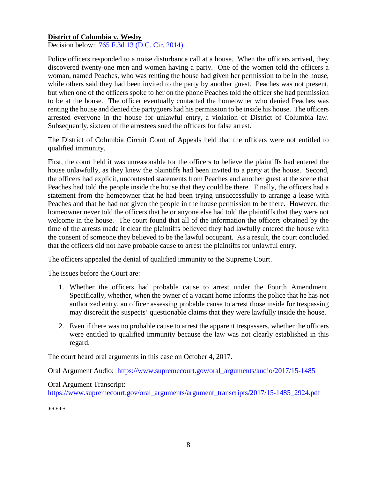#### <span id="page-7-0"></span>**District of Columbia v. Wesby**

Decision below: [765 F.3d 13 \(D.C. Cir. 2014\)](https://cases.justia.com/federal/appellate-courts/cadc/12-7127/12-7127-2014-09-02.pdf?ts=1411135821)

Police officers responded to a noise disturbance call at a house. When the officers arrived, they discovered twenty-one men and women having a party. One of the women told the officers a woman, named Peaches, who was renting the house had given her permission to be in the house, while others said they had been invited to the party by another guest. Peaches was not present, but when one of the officers spoke to her on the phone Peaches told the officer she had permission to be at the house. The officer eventually contacted the homeowner who denied Peaches was renting the house and denied the partygoers had his permission to be inside his house. The officers arrested everyone in the house for unlawful entry, a violation of District of Columbia law. Subsequently, sixteen of the arrestees sued the officers for false arrest.

The District of Columbia Circuit Court of Appeals held that the officers were not entitled to qualified immunity.

First, the court held it was unreasonable for the officers to believe the plaintiffs had entered the house unlawfully, as they knew the plaintiffs had been invited to a party at the house. Second, the officers had explicit, uncontested statements from Peaches and another guest at the scene that Peaches had told the people inside the house that they could be there. Finally, the officers had a statement from the homeowner that he had been trying unsuccessfully to arrange a lease with Peaches and that he had not given the people in the house permission to be there. However, the homeowner never told the officers that he or anyone else had told the plaintiffs that they were not welcome in the house. The court found that all of the information the officers obtained by the time of the arrests made it clear the plaintiffs believed they had lawfully entered the house with the consent of someone they believed to be the lawful occupant. As a result, the court concluded that the officers did not have probable cause to arrest the plaintiffs for unlawful entry.

The officers appealed the denial of qualified immunity to the Supreme Court.

The issues before the Court are:

- 1. Whether the officers had probable cause to arrest under the Fourth Amendment. Specifically, whether, when the owner of a vacant home informs the police that he has not authorized entry, an officer assessing probable cause to arrest those inside for trespassing may discredit the suspects' questionable claims that they were lawfully inside the house.
- 2. Even if there was no probable cause to arrest the apparent trespassers, whether the officers were entitled to qualified immunity because the law was not clearly established in this regard.

The court heard oral arguments in this case on October 4, 2017.

Oral Argument Audio: [https://www.supremecourt.gov/oral\\_arguments/audio/2017/15-1485](https://www.supremecourt.gov/oral_arguments/audio/2017/15-1485)

#### Oral Argument Transcript:

[https://www.supremecourt.gov/oral\\_arguments/argument\\_transcripts/2017/15-1485\\_2924.pdf](https://www.supremecourt.gov/oral_arguments/argument_transcripts/2017/15-1485_2924.pdf)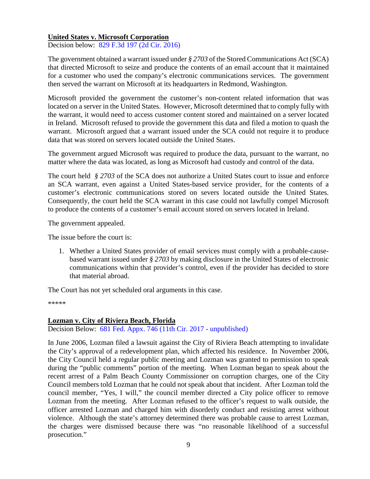#### <span id="page-8-0"></span>**United States v. Microsoft Corporation**

Decision below: [829 F.3d 197 \(2d Cir. 2016\)](https://cases.justia.com/federal/appellate-courts/ca2/14-2985/14-2985-2016-07-14.pdf?ts=1468508412)

The government obtained a warrant issued under *§ 2703* of the Stored Communications Act (SCA) that directed Microsoft to seize and produce the contents of an email account that it maintained for a customer who used the company's electronic communications services. The government then served the warrant on Microsoft at its headquarters in Redmond, Washington.

Microsoft provided the government the customer's non-content related information that was located on a server in the United States. However, Microsoft determined that to comply fully with the warrant, it would need to access customer content stored and maintained on a server located in Ireland. Microsoft refused to provide the government this data and filed a motion to quash the warrant. Microsoft argued that a warrant issued under the SCA could not require it to produce data that was stored on servers located outside the United States.

The government argued Microsoft was required to produce the data, pursuant to the warrant, no matter where the data was located, as long as Microsoft had custody and control of the data.

The court held *§ 2703* of the SCA does not authorize a United States court to issue and enforce an SCA warrant, even against a United States-based service provider, for the contents of a customer's electronic communications stored on severs located outside the United States. Consequently, the court held the SCA warrant in this case could not lawfully compel Microsoft to produce the contents of a customer's email account stored on servers located in Ireland.

The government appealed.

The issue before the court is:

1. Whether a United States provider of email services must comply with a probable-causebased warrant issued under *§ 2703* by making disclosure in the United States of electronic communications within that provider's control, even if the provider has decided to store that material abroad.

The Court has not yet scheduled oral arguments in this case.

\*\*\*\*\*

#### <span id="page-8-1"></span>**Lozman v. City of Riviera Beach, Florida**

Decision Below: [681 Fed. Appx. 746 \(11th Cir. 2017 -](http://www.scotusblog.com/wp-content/uploads/2017/07/17-21-opinion-below.pdf) unpublished)

In June 2006, Lozman filed a lawsuit against the City of Riviera Beach attempting to invalidate the City's approval of a redevelopment plan, which affected his residence. In November 2006, the City Council held a regular public meeting and Lozman was granted to permission to speak during the "public comments" portion of the meeting. When Lozman began to speak about the recent arrest of a Palm Beach County Commissioner on corruption charges, one of the City Council members told Lozman that he could not speak about that incident. After Lozman told the council member, "Yes, I will," the council member directed a City police officer to remove Lozman from the meeting. After Lozman refused to the officer's request to walk outside, the officer arrested Lozman and charged him with disorderly conduct and resisting arrest without violence. Although the state's attorney determined there was probable cause to arrest Lozman, the charges were dismissed because there was "no reasonable likelihood of a successful prosecution."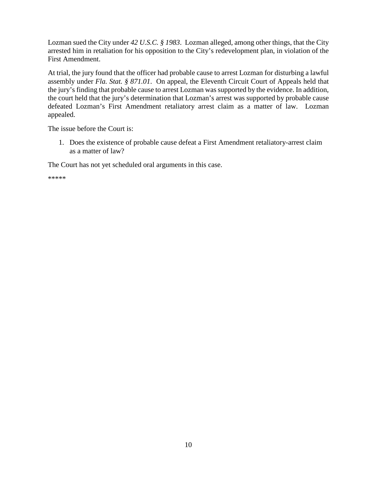Lozman sued the City under *42 U.S.C. § 1983*. Lozman alleged, among other things, that the City arrested him in retaliation for his opposition to the City's redevelopment plan, in violation of the First Amendment.

At trial, the jury found that the officer had probable cause to arrest Lozman for disturbing a lawful assembly under *Fla. Stat. § 871.01*. On appeal, the Eleventh Circuit Court of Appeals held that the jury's finding that probable cause to arrest Lozman was supported by the evidence. In addition, the court held that the jury's determination that Lozman's arrest was supported by probable cause defeated Lozman's First Amendment retaliatory arrest claim as a matter of law. Lozman appealed.

The issue before the Court is:

1. Does the existence of probable cause defeat a First Amendment retaliatory-arrest claim as a matter of law?

The Court has not yet scheduled oral arguments in this case.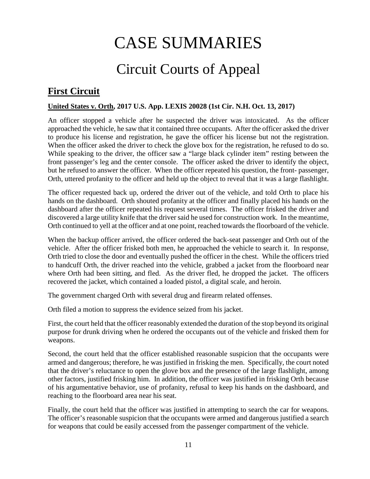# CASE SUMMARIES

# Circuit Courts of Appeal

## <span id="page-10-1"></span><span id="page-10-0"></span>**First Circuit**

#### <span id="page-10-2"></span>**United States v. Orth, 2017 U.S. App. LEXIS 20028 (1st Cir. N.H. Oct. 13, 2017)**

An officer stopped a vehicle after he suspected the driver was intoxicated. As the officer approached the vehicle, he saw that it contained three occupants. After the officer asked the driver to produce his license and registration, he gave the officer his license but not the registration. When the officer asked the driver to check the glove box for the registration, he refused to do so. While speaking to the driver, the officer saw a "large black cylinder item" resting between the front passenger's leg and the center console. The officer asked the driver to identify the object, but he refused to answer the officer. When the officer repeated his question, the front- passenger, Orth, uttered profanity to the officer and held up the object to reveal that it was a large flashlight.

The officer requested back up, ordered the driver out of the vehicle, and told Orth to place his hands on the dashboard. Orth shouted profanity at the officer and finally placed his hands on the dashboard after the officer repeated his request several times. The officer frisked the driver and discovered a large utility knife that the driver said he used for construction work. In the meantime, Orth continued to yell at the officer and at one point, reached towards the floorboard of the vehicle.

When the backup officer arrived, the officer ordered the back-seat passenger and Orth out of the vehicle. After the officer frisked both men, he approached the vehicle to search it. In response, Orth tried to close the door and eventually pushed the officer in the chest. While the officers tried to handcuff Orth, the driver reached into the vehicle, grabbed a jacket from the floorboard near where Orth had been sitting, and fled. As the driver fled, he dropped the jacket. The officers recovered the jacket, which contained a loaded pistol, a digital scale, and heroin.

The government charged Orth with several drug and firearm related offenses.

Orth filed a motion to suppress the evidence seized from his jacket.

First, the court held that the officer reasonably extended the duration of the stop beyond its original purpose for drunk driving when he ordered the occupants out of the vehicle and frisked them for weapons.

Second, the court held that the officer established reasonable suspicion that the occupants were armed and dangerous; therefore, he was justified in frisking the men. Specifically, the court noted that the driver's reluctance to open the glove box and the presence of the large flashlight, among other factors, justified frisking him. In addition, the officer was justified in frisking Orth because of his argumentative behavior, use of profanity, refusal to keep his hands on the dashboard, and reaching to the floorboard area near his seat.

Finally, the court held that the officer was justified in attempting to search the car for weapons. The officer's reasonable suspicion that the occupants were armed and dangerous justified a search for weapons that could be easily accessed from the passenger compartment of the vehicle.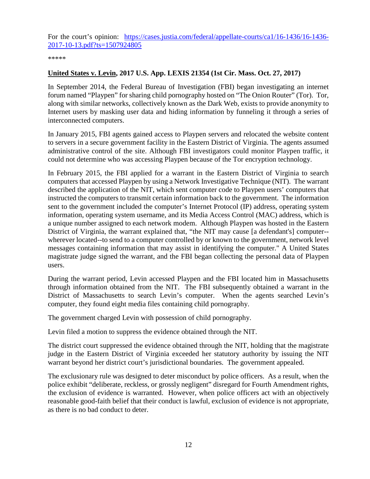For the court's opinion: [https://cases.justia.com/federal/appellate-courts/ca1/16-1436/16-1436-](https://cases.justia.com/federal/appellate-courts/ca1/16-1436/16-1436-2017-10-13.pdf?ts=1507924805) [2017-10-13.pdf?ts=1507924805](https://cases.justia.com/federal/appellate-courts/ca1/16-1436/16-1436-2017-10-13.pdf?ts=1507924805)

\*\*\*\*\*

#### <span id="page-11-0"></span>**United States v. Levin, 2017 U.S. App. LEXIS 21354 (1st Cir. Mass. Oct. 27, 2017)**

In September 2014, the Federal Bureau of Investigation (FBI) began investigating an internet forum named "Playpen" for sharing child pornography hosted on "The Onion Router" (Tor). Tor, along with similar networks, collectively known as the Dark Web, exists to provide anonymity to Internet users by masking user data and hiding information by funneling it through a series of interconnected computers.

In January 2015, FBI agents gained access to Playpen servers and relocated the website content to servers in a secure government facility in the Eastern District of Virginia. The agents assumed administrative control of the site. Although FBI investigators could monitor Playpen traffic, it could not determine who was accessing Playpen because of the Tor encryption technology.

In February 2015, the FBI applied for a warrant in the Eastern District of Virginia to search computers that accessed Playpen by using a Network Investigative Technique (NIT). The warrant described the application of the NIT, which sent computer code to Playpen users' computers that instructed the computers to transmit certain information back to the government. The information sent to the government included the computer's Internet Protocol (IP) address, operating system information, operating system username, and its Media Access Control (MAC) address, which is a unique number assigned to each network modem. Although Playpen was hosted in the Eastern District of Virginia, the warrant explained that, "the NIT may cause [a defendant's] computer- wherever located--to send to a computer controlled by or known to the government, network level messages containing information that may assist in identifying the computer." A United States magistrate judge signed the warrant, and the FBI began collecting the personal data of Playpen users.

During the warrant period, Levin accessed Playpen and the FBI located him in Massachusetts through information obtained from the NIT. The FBI subsequently obtained a warrant in the District of Massachusetts to search Levin's computer. When the agents searched Levin's computer, they found eight media files containing child pornography.

The government charged Levin with possession of child pornography.

Levin filed a motion to suppress the evidence obtained through the NIT.

The district court suppressed the evidence obtained through the NIT, holding that the magistrate judge in the Eastern District of Virginia exceeded her statutory authority by issuing the NIT warrant beyond her district court's jurisdictional boundaries. The government appealed.

The exclusionary rule was designed to deter misconduct by police officers. As a result, when the police exhibit "deliberate, reckless, or grossly negligent" disregard for Fourth Amendment rights, the exclusion of evidence is warranted. However, when police officers act with an objectively reasonable good-faith belief that their conduct is lawful, exclusion of evidence is not appropriate, as there is no bad conduct to deter.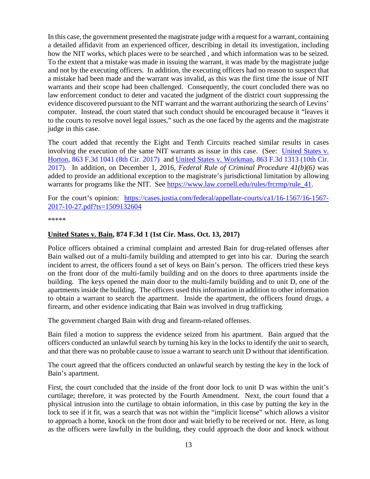In this case, the government presented the magistrate judge with a request for a warrant, containing a detailed affidavit from an experienced officer, describing in detail its investigation, including how the NIT works, which places were to be searched , and which information was to be seized. To the extent that a mistake was made in issuing the warrant, it was made by the magistrate judge and not by the executing officers. In addition, the executing officers had no reason to suspect that a mistake had been made and the warrant was invalid, as this was the first time the issue of NIT warrants and their scope had been challenged. Consequently, the court concluded there was no law enforcement conduct to deter and vacated the judgment of the district court suppressing the evidence discovered pursuant to the NIT warrant and the warrant authorizing the search of Levins' computer. Instead, the court stated that such conduct should be encouraged because it "leaves it to the courts to resolve novel legal issues," such as the one faced by the agents and the magistrate judge in this case.

The court added that recently the Eight and Tenth Circuits reached similar results in cases involving the execution of the same NIT warrants as issue in this case. (See: [United States v.](https://cases.justia.com/federal/appellate-courts/ca8/16-3976/16-3976-2017-07-24.pdf?ts=1500910259)  [Horton, 863 F.3d 1041 \(8th Cir. 2017\)](https://cases.justia.com/federal/appellate-courts/ca8/16-3976/16-3976-2017-07-24.pdf?ts=1500910259) and [United States v. Workman, 863 F.3d 1313 \(10th Cir.](https://cases.justia.com/federal/appellate-courts/ca10/16-1401/16-1401-2017-07-21.pdf?ts=1500654692) [2017\).](https://cases.justia.com/federal/appellate-courts/ca10/16-1401/16-1401-2017-07-21.pdf?ts=1500654692) In addition, on December 1, 2016, *Federal Rule of Criminal Procedure 41(b)(6)* was added to provide an additional exception to the magistrate's jurisdictional limitation by allowing warrants for programs like the NIT. See [https://www.law.cornell.edu/rules/frcrmp/rule\\_41.](https://www.law.cornell.edu/rules/frcrmp/rule_41)

For the court's opinion: [https://cases.justia.com/federal/appellate-courts/ca1/16-1567/16-1567-](https://cases.justia.com/federal/appellate-courts/ca1/16-1567/16-1567-2017-10-27.pdf?ts=1509132604) [2017-10-27.pdf?ts=1509132604](https://cases.justia.com/federal/appellate-courts/ca1/16-1567/16-1567-2017-10-27.pdf?ts=1509132604)

\*\*\*\*\*

#### <span id="page-12-0"></span>**United States v. Bain, 874 F.3d 1 (1st Cir. Mass. Oct. 13, 2017)**

Police officers obtained a criminal complaint and arrested Bain for drug-related offenses after Bain walked out of a multi-family building and attempted to get into his car. During the search incident to arrest, the officers found a set of keys on Bain's person. The officers tried these keys on the front door of the multi-family building and on the doors to three apartments inside the building. The keys opened the main door to the multi-family building and to unit D, one of the apartments inside the building. The officers used this information in addition to other information to obtain a warrant to search the apartment. Inside the apartment, the officers found drugs, a firearm, and other evidence indicating that Bain was involved in drug trafficking.

The government charged Bain with drug and firearm-related offenses.

Bain filed a motion to suppress the evidence seized from his apartment. Bain argued that the officers conducted an unlawful search by turning his key in the locks to identify the unit to search, and that there was no probable cause to issue a warrant to search unit D without that identification.

The court agreed that the officers conducted an unlawful search by testing the key in the lock of Bain's apartment.

First, the court concluded that the inside of the front door lock to unit D was within the unit's curtilage; therefore, it was protected by the Fourth Amendment. Next, the court found that a physical intrusion into the curtilage to obtain information, in this case by putting the key in the lock to see if it fit, was a search that was not within the "implicit license" which allows a visitor to approach a home, knock on the front door and wait briefly to be received or not. Here, as long as the officers were lawfully in the building, they could approach the door and knock without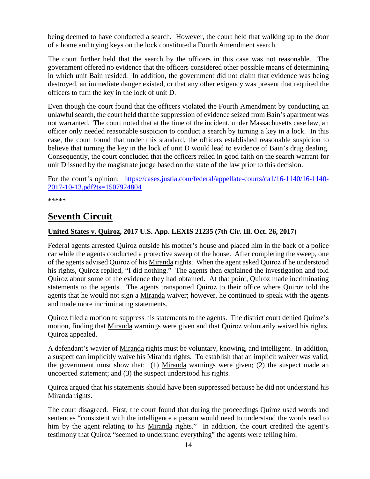being deemed to have conducted a search. However, the court held that walking up to the door of a home and trying keys on the lock constituted a Fourth Amendment search.

The court further held that the search by the officers in this case was not reasonable. The government offered no evidence that the officers considered other possible means of determining in which unit Bain resided. In addition, the government did not claim that evidence was being destroyed, an immediate danger existed, or that any other exigency was present that required the officers to turn the key in the lock of unit D.

Even though the court found that the officers violated the Fourth Amendment by conducting an unlawful search, the court held that the suppression of evidence seized from Bain's apartment was not warranted. The court noted that at the time of the incident, under Massachusetts case law, an officer only needed reasonable suspicion to conduct a search by turning a key in a lock. In this case, the court found that under this standard, the officers established reasonable suspicion to believe that turning the key in the lock of unit D would lead to evidence of Bain's drug dealing. Consequently, the court concluded that the officers relied in good faith on the search warrant for unit D issued by the magistrate judge based on the state of the law prior to this decision.

For the court's opinion: [https://cases.justia.com/federal/appellate-courts/ca1/16-1140/16-1140-](https://cases.justia.com/federal/appellate-courts/ca1/16-1140/16-1140-2017-10-13.pdf?ts=1507924804) [2017-10-13.pdf?ts=1507924804](https://cases.justia.com/federal/appellate-courts/ca1/16-1140/16-1140-2017-10-13.pdf?ts=1507924804)

\*\*\*\*\*

## <span id="page-13-0"></span>**Seventh Circuit**

#### <span id="page-13-1"></span>**United States v. Quiroz, 2017 U.S. App. LEXIS 21235 (7th Cir. Ill. Oct. 26, 2017)**

Federal agents arrested Quiroz outside his mother's house and placed him in the back of a police car while the agents conducted a protective sweep of the house. After completing the sweep, one of the agents advised Quiroz of his Miranda rights. When the agent asked Quiroz if he understood his rights, Quiroz replied, "I did nothing." The agents then explained the investigation and told Quiroz about some of the evidence they had obtained. At that point, Quiroz made incriminating statements to the agents. The agents transported Quiroz to their office where Quiroz told the agents that he would not sign a Miranda waiver; however, he continued to speak with the agents and made more incriminating statements.

Quiroz filed a motion to suppress his statements to the agents. The district court denied Quiroz's motion, finding that Miranda warnings were given and that Quiroz voluntarily waived his rights. Quiroz appealed.

A defendant's wavier of Miranda rights must be voluntary, knowing, and intelligent. In addition, a suspect can implicitly waive his Miranda rights. To establish that an implicit waiver was valid, the government must show that: (1) Miranda warnings were given; (2) the suspect made an uncoerced statement; and (3) the suspect understood his rights.

Quiroz argued that his statements should have been suppressed because he did not understand his Miranda rights.

The court disagreed. First, the court found that during the proceedings Quiroz used words and sentences "consistent with the intelligence a person would need to understand the words read to him by the agent relating to his Miranda rights." In addition, the court credited the agent's testimony that Quiroz "seemed to understand everything" the agents were telling him.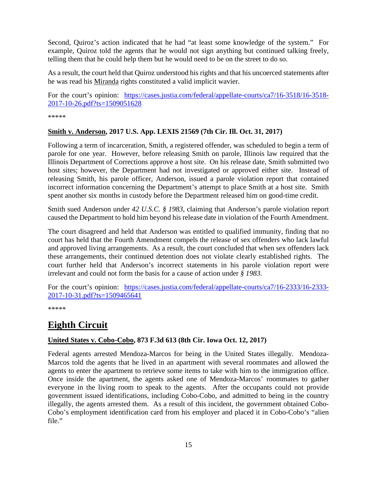Second, Quiroz's action indicated that he had "at least some knowledge of the system." For example, Quiroz told the agents that he would not sign anything but continued talking freely, telling them that he could help them but he would need to be on the street to do so.

As a result, the court held that Quiroz understood his rights and that his uncoerced statements after he was read his Miranda rights constituted a valid implicit wavier.

For the court's opinion: [https://cases.justia.com/federal/appellate-courts/ca7/16-3518/16-3518-](https://cases.justia.com/federal/appellate-courts/ca7/16-3518/16-3518-2017-10-26.pdf?ts=1509051628) [2017-10-26.pdf?ts=1509051628](https://cases.justia.com/federal/appellate-courts/ca7/16-3518/16-3518-2017-10-26.pdf?ts=1509051628)

\*\*\*\*\*

#### <span id="page-14-0"></span>**Smith v. Anderson, 2017 U.S. App. LEXIS 21569 (7th Cir. Ill. Oct. 31, 2017)**

Following a term of incarceration, Smith, a registered offender, was scheduled to begin a term of parole for one year. However, before releasing Smith on parole, Illinois law required that the Illinois Department of Corrections approve a host site. On his release date, Smith submitted two host sites; however, the Department had not investigated or approved either site. Instead of releasing Smith, his parole officer, Anderson, issued a parole violation report that contained incorrect information concerning the Department's attempt to place Smith at a host site. Smith spent another six months in custody before the Department released him on good-time credit.

Smith sued Anderson under *42 U.S.C. § 1983*, claiming that Anderson's parole violation report caused the Department to hold him beyond his release date in violation of the Fourth Amendment.

The court disagreed and held that Anderson was entitled to qualified immunity, finding that no court has held that the Fourth Amendment compels the release of sex offenders who lack lawful and approved living arrangements. As a result, the court concluded that when sex offenders lack these arrangements, their continued detention does not violate clearly established rights. The court further held that Anderson's incorrect statements in his parole violation report were irrelevant and could not form the basis for a cause of action under *§ 1983*.

For the court's opinion: [https://cases.justia.com/federal/appellate-courts/ca7/16-2333/16-2333-](https://cases.justia.com/federal/appellate-courts/ca7/16-2333/16-2333-2017-10-31.pdf?ts=1509465641) [2017-10-31.pdf?ts=1509465641](https://cases.justia.com/federal/appellate-courts/ca7/16-2333/16-2333-2017-10-31.pdf?ts=1509465641)

\*\*\*\*\*

# <span id="page-14-1"></span>**Eighth Circuit**

#### <span id="page-14-2"></span>**United States v. Cobo-Cobo, 873 F.3d 613 (8th Cir. Iowa Oct. 12, 2017)**

Federal agents arrested Mendoza-Marcos for being in the United States illegally. Mendoza-Marcos told the agents that he lived in an apartment with several roommates and allowed the agents to enter the apartment to retrieve some items to take with him to the immigration office. Once inside the apartment, the agents asked one of Mendoza-Marcos' roommates to gather everyone in the living room to speak to the agents. After the occupants could not provide government issued identifications, including Cobo-Cobo, and admitted to being in the country illegally, the agents arrested them. As a result of this incident, the government obtained Cobo-Cobo's employment identification card from his employer and placed it in Cobo-Cobo's "alien file."